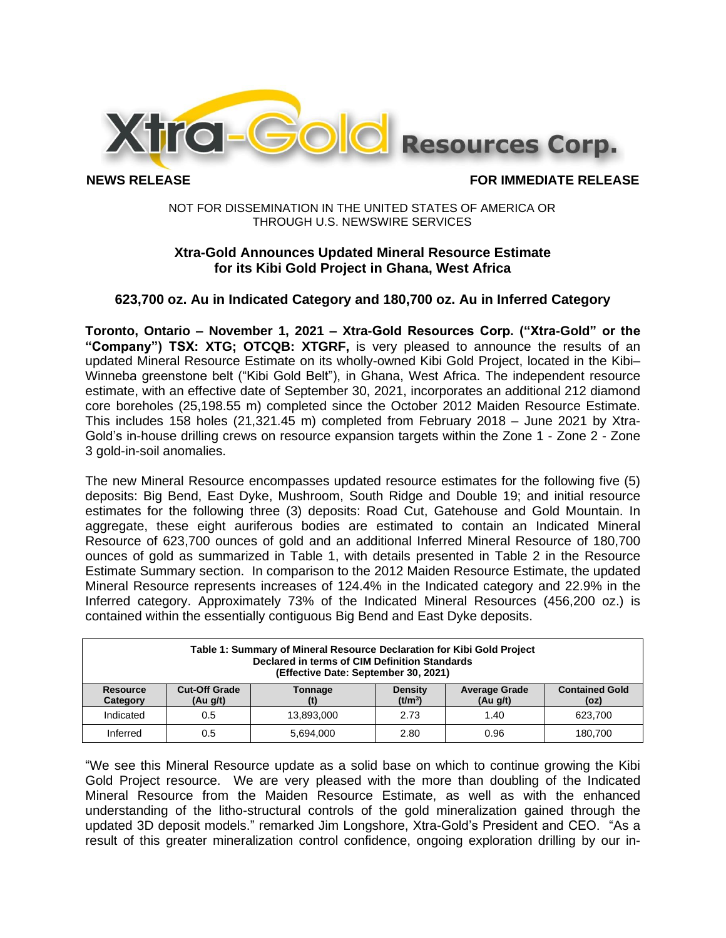

## **NEWS RELEASE FOR IMMEDIATE RELEASE**

## NOT FOR DISSEMINATION IN THE UNITED STATES OF AMERICA OR THROUGH U.S. NEWSWIRE SERVICES

# **Xtra-Gold Announces Updated Mineral Resource Estimate for its Kibi Gold Project in Ghana, West Africa**

# **623,700 oz. Au in Indicated Category and 180,700 oz. Au in Inferred Category**

**Toronto, Ontario – November 1, 2021 – Xtra-Gold Resources Corp. ("Xtra-Gold" or the "Company") TSX: XTG; OTCQB: XTGRF,** is very pleased to announce the results of an updated Mineral Resource Estimate on its wholly-owned Kibi Gold Project, located in the Kibi– Winneba greenstone belt ("Kibi Gold Belt"), in Ghana, West Africa. The independent resource estimate, with an effective date of September 30, 2021, incorporates an additional 212 diamond core boreholes (25,198.55 m) completed since the October 2012 Maiden Resource Estimate. This includes 158 holes (21,321.45 m) completed from February 2018 – June 2021 by Xtra-Gold's in-house drilling crews on resource expansion targets within the Zone 1 - Zone 2 - Zone 3 gold-in-soil anomalies.

The new Mineral Resource encompasses updated resource estimates for the following five (5) deposits: Big Bend, East Dyke, Mushroom, South Ridge and Double 19; and initial resource estimates for the following three (3) deposits: Road Cut, Gatehouse and Gold Mountain. In aggregate, these eight auriferous bodies are estimated to contain an Indicated Mineral Resource of 623,700 ounces of gold and an additional Inferred Mineral Resource of 180,700 ounces of gold as summarized in Table 1, with details presented in Table 2 in the Resource Estimate Summary section. In comparison to the 2012 Maiden Resource Estimate, the updated Mineral Resource represents increases of 124.4% in the Indicated category and 22.9% in the Inferred category. Approximately 73% of the Indicated Mineral Resources (456,200 oz.) is contained within the essentially contiguous Big Bend and East Dyke deposits.

| Table 1: Summary of Mineral Resource Declaration for Kibi Gold Project<br>Declared in terms of CIM Definition Standards<br>(Effective Date: September 30, 2021) |                                  |                |                                       |                                  |                               |  |  |  |
|-----------------------------------------------------------------------------------------------------------------------------------------------------------------|----------------------------------|----------------|---------------------------------------|----------------------------------|-------------------------------|--|--|--|
| <b>Resource</b><br>Category                                                                                                                                     | <b>Cut-Off Grade</b><br>(Au g/t) | <b>Tonnage</b> | <b>Density</b><br>(t/m <sup>3</sup> ) | <b>Average Grade</b><br>(Au g/t) | <b>Contained Gold</b><br>(oz) |  |  |  |
| Indicated                                                                                                                                                       | 0.5                              | 13.893.000     | 2.73                                  | 1.40                             | 623.700                       |  |  |  |
| Inferred                                                                                                                                                        | 0.5                              | 5.694.000      | 2.80                                  | 0.96                             | 180.700                       |  |  |  |

"We see this Mineral Resource update as a solid base on which to continue growing the Kibi Gold Project resource. We are very pleased with the more than doubling of the Indicated Mineral Resource from the Maiden Resource Estimate, as well as with the enhanced understanding of the litho-structural controls of the gold mineralization gained through the updated 3D deposit models." remarked Jim Longshore, Xtra-Gold's President and CEO. "As a result of this greater mineralization control confidence, ongoing exploration drilling by our in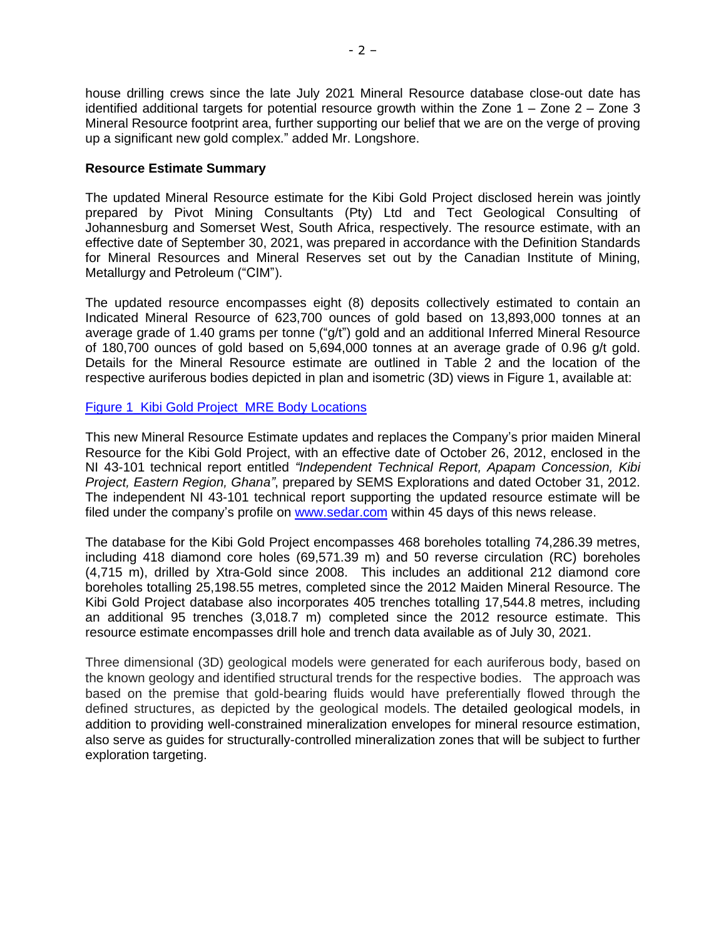house drilling crews since the late July 2021 Mineral Resource database close-out date has identified additional targets for potential resource growth within the Zone  $1 -$  Zone  $2 -$  Zone 3 Mineral Resource footprint area, further supporting our belief that we are on the verge of proving up a significant new gold complex." added Mr. Longshore.

## **Resource Estimate Summary**

The updated Mineral Resource estimate for the Kibi Gold Project disclosed herein was jointly prepared by Pivot Mining Consultants (Pty) Ltd and Tect Geological Consulting of Johannesburg and Somerset West, South Africa, respectively. The resource estimate, with an effective date of September 30, 2021, was prepared in accordance with the Definition Standards for Mineral Resources and Mineral Reserves set out by the Canadian Institute of Mining, Metallurgy and Petroleum ("CIM").

The updated resource encompasses eight (8) deposits collectively estimated to contain an Indicated Mineral Resource of 623,700 ounces of gold based on 13,893,000 tonnes at an average grade of 1.40 grams per tonne ("g/t") gold and an additional Inferred Mineral Resource of 180,700 ounces of gold based on 5,694,000 tonnes at an average grade of 0.96 g/t gold. Details for the Mineral Resource estimate are outlined in Table 2 and the location of the respective auriferous bodies depicted in plan and isometric (3D) views in Figure 1, available at:

## Figure 1 Kibi Gold Project MRE Body Locations

This new Mineral Resource Estimate updates and replaces the Company's prior maiden Mineral Resource for the Kibi Gold Project, with an effective date of October 26, 2012, enclosed in the NI 43-101 technical report entitled *"Independent Technical Report, Apapam Concession, Kibi Project, Eastern Region, Ghana"*, prepared by SEMS Explorations and dated October 31, 2012. The independent NI 43-101 technical report supporting the updated resource estimate will be filed under the company's profile on [www.sedar.com](http://www.sedar.com/) within 45 days of this news release.

The database for the Kibi Gold Project encompasses 468 boreholes totalling 74,286.39 metres, including 418 diamond core holes (69,571.39 m) and 50 reverse circulation (RC) boreholes (4,715 m), drilled by Xtra-Gold since 2008. This includes an additional 212 diamond core boreholes totalling 25,198.55 metres, completed since the 2012 Maiden Mineral Resource. The Kibi Gold Project database also incorporates 405 trenches totalling 17,544.8 metres, including an additional 95 trenches (3,018.7 m) completed since the 2012 resource estimate. This resource estimate encompasses drill hole and trench data available as of July 30, 2021.

Three dimensional (3D) geological models were generated for each auriferous body, based on the known geology and identified structural trends for the respective bodies. The approach was based on the premise that gold-bearing fluids would have preferentially flowed through the defined structures, as depicted by the geological models. The detailed geological models, in addition to providing well-constrained mineralization envelopes for mineral resource estimation, also serve as guides for structurally-controlled mineralization zones that will be subject to further exploration targeting.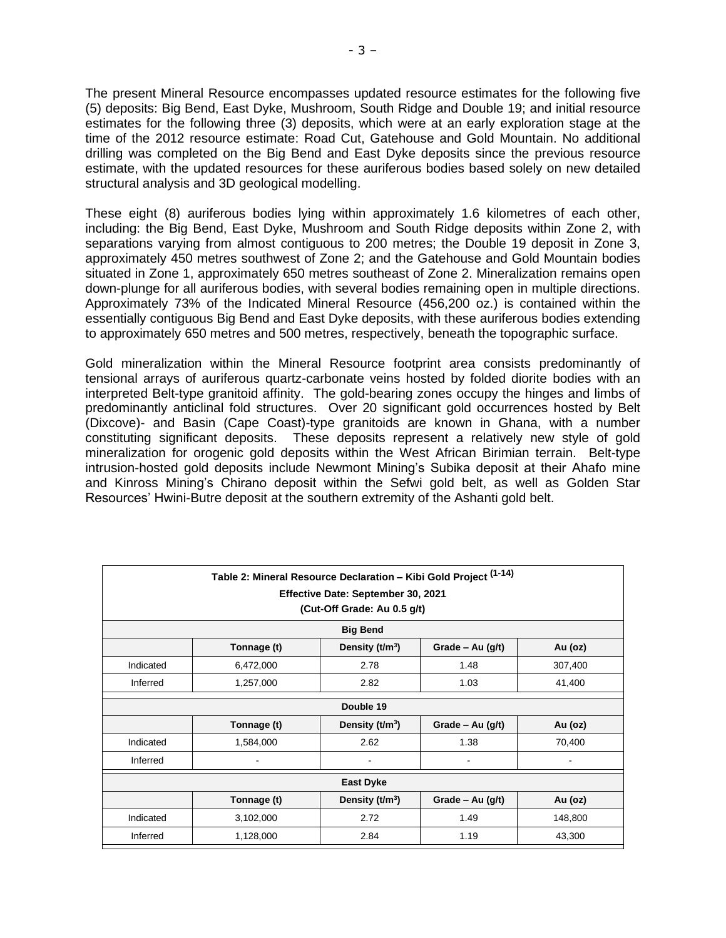The present Mineral Resource encompasses updated resource estimates for the following five (5) deposits: Big Bend, East Dyke, Mushroom, South Ridge and Double 19; and initial resource estimates for the following three (3) deposits, which were at an early exploration stage at the time of the 2012 resource estimate: Road Cut, Gatehouse and Gold Mountain. No additional drilling was completed on the Big Bend and East Dyke deposits since the previous resource estimate, with the updated resources for these auriferous bodies based solely on new detailed structural analysis and 3D geological modelling.

These eight (8) auriferous bodies lying within approximately 1.6 kilometres of each other, including: the Big Bend, East Dyke, Mushroom and South Ridge deposits within Zone 2, with separations varying from almost contiguous to 200 metres; the Double 19 deposit in Zone 3, approximately 450 metres southwest of Zone 2; and the Gatehouse and Gold Mountain bodies situated in Zone 1, approximately 650 metres southeast of Zone 2. Mineralization remains open down-plunge for all auriferous bodies, with several bodies remaining open in multiple directions. Approximately 73% of the Indicated Mineral Resource (456,200 oz.) is contained within the essentially contiguous Big Bend and East Dyke deposits, with these auriferous bodies extending to approximately 650 metres and 500 metres, respectively, beneath the topographic surface.

Gold mineralization within the Mineral Resource footprint area consists predominantly of tensional arrays of auriferous quartz-carbonate veins hosted by folded diorite bodies with an interpreted Belt-type granitoid affinity. The gold-bearing zones occupy the hinges and limbs of predominantly anticlinal fold structures. Over 20 significant gold occurrences hosted by Belt (Dixcove)- and Basin (Cape Coast)-type granitoids are known in Ghana, with a number constituting significant deposits. These deposits represent a relatively new style of gold mineralization for orogenic gold deposits within the West African Birimian terrain. Belt-type intrusion-hosted gold deposits include Newmont Mining's Subika deposit at their Ahafo mine and Kinross Mining's Chirano deposit within the Sefwi gold belt, as well as Golden Star Resources' Hwini-Butre deposit at the southern extremity of the Ashanti gold belt.

| Table 2: Mineral Resource Declaration - Kibi Gold Project (1-14)<br>Effective Date: September 30, 2021<br>(Cut-Off Grade: Au 0.5 g/t) |             |                   |                  |         |  |  |  |  |
|---------------------------------------------------------------------------------------------------------------------------------------|-------------|-------------------|------------------|---------|--|--|--|--|
| <b>Big Bend</b>                                                                                                                       |             |                   |                  |         |  |  |  |  |
|                                                                                                                                       | Tonnage (t) | Density $(t/m^3)$ | Grade - Au (g/t) | Au (oz) |  |  |  |  |
| Indicated                                                                                                                             | 6,472,000   | 2.78              | 1.48             | 307,400 |  |  |  |  |
| Inferred                                                                                                                              | 1,257,000   | 2.82              | 1.03             | 41,400  |  |  |  |  |
| Double 19                                                                                                                             |             |                   |                  |         |  |  |  |  |
|                                                                                                                                       | Tonnage (t) | Density $(t/m3)$  | Grade - Au (g/t) | Au (oz) |  |  |  |  |
| Indicated                                                                                                                             | 1,584,000   | 2.62              | 1.38             | 70,400  |  |  |  |  |
| Inferred                                                                                                                              |             |                   |                  |         |  |  |  |  |
| <b>East Dyke</b>                                                                                                                      |             |                   |                  |         |  |  |  |  |
|                                                                                                                                       | Tonnage (t) | Density $(t/m^3)$ | Grade - Au (g/t) | Au (oz) |  |  |  |  |
| Indicated                                                                                                                             | 3,102,000   | 2.72              | 1.49             | 148,800 |  |  |  |  |
| Inferred                                                                                                                              | 1,128,000   | 2.84              | 1.19             | 43,300  |  |  |  |  |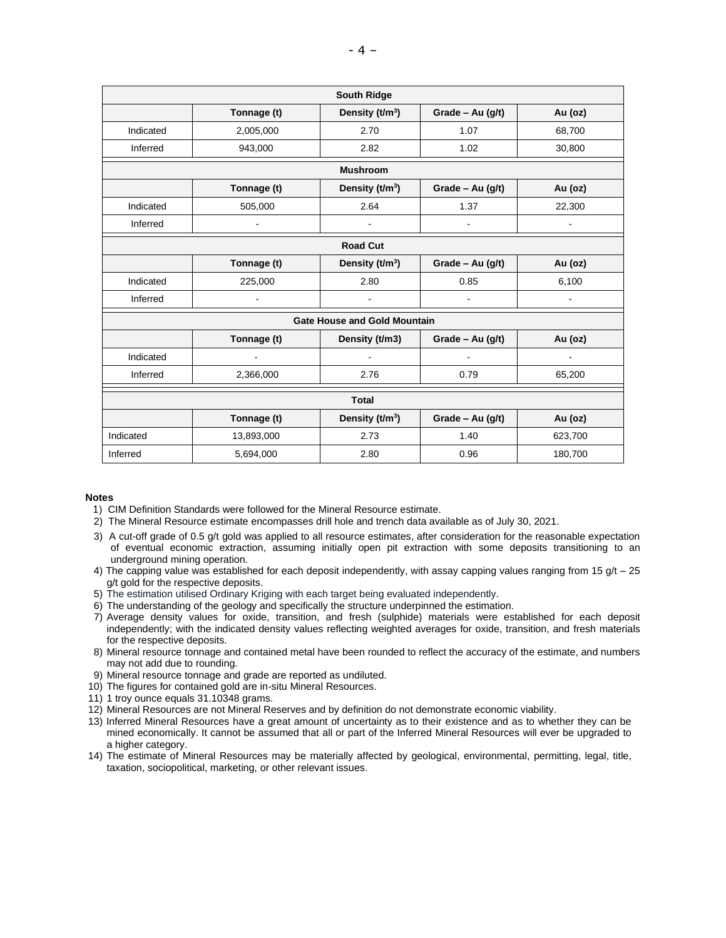| <b>South Ridge</b>                  |                |                             |                    |         |  |  |  |  |
|-------------------------------------|----------------|-----------------------------|--------------------|---------|--|--|--|--|
|                                     | Tonnage (t)    | Density (t/m <sup>3</sup> ) | Grade - Au (g/t)   | Au (oz) |  |  |  |  |
| Indicated                           | 2,005,000      | 2.70                        | 1.07               | 68,700  |  |  |  |  |
| Inferred                            | 943,000        | 2.82                        | 1.02               | 30,800  |  |  |  |  |
| <b>Mushroom</b>                     |                |                             |                    |         |  |  |  |  |
|                                     | Tonnage (t)    | Density $(t/m3)$            | Grade - Au $(g/t)$ | Au (oz) |  |  |  |  |
| Indicated                           | 505,000        | 2.64                        | 1.37               | 22,300  |  |  |  |  |
| Inferred                            | ä,             |                             |                    | ÷       |  |  |  |  |
| <b>Road Cut</b>                     |                |                             |                    |         |  |  |  |  |
|                                     | Tonnage (t)    | Density (t/m <sup>3</sup> ) | Grade - Au $(g/t)$ | Au (oz) |  |  |  |  |
| Indicated                           | 225,000        | 2.80                        | 0.85               | 6,100   |  |  |  |  |
| Inferred                            | $\blacksquare$ | $\blacksquare$              | ä,                 | ÷       |  |  |  |  |
| <b>Gate House and Gold Mountain</b> |                |                             |                    |         |  |  |  |  |
|                                     | Tonnage (t)    | Density (t/m3)              | Grade – Au $(g/t)$ | Au (oz) |  |  |  |  |
| Indicated                           |                |                             |                    | ÷       |  |  |  |  |
| Inferred                            | 2,366,000      | 2.76                        | 0.79               | 65,200  |  |  |  |  |
| <b>Total</b>                        |                |                             |                    |         |  |  |  |  |
|                                     | Tonnage (t)    | Density (t/m <sup>3</sup> ) | Grade - Au $(g/t)$ | Au (oz) |  |  |  |  |
| Indicated                           | 13,893,000     | 2.73                        | 1.40               | 623,700 |  |  |  |  |
| Inferred                            | 5,694,000      | 2.80                        | 0.96               | 180,700 |  |  |  |  |

#### **Notes**

- 1) CIM Definition Standards were followed for the Mineral Resource estimate.
- 2) The Mineral Resource estimate encompasses drill hole and trench data available as of July 30, 2021.
- 3) A cut-off grade of 0.5 g/t gold was applied to all resource estimates, after consideration for the reasonable expectation of eventual economic extraction, assuming initially open pit extraction with some deposits transitioning to an underground mining operation.
- 4) The capping value was established for each deposit independently, with assay capping values ranging from 15  $g/t 25$ g/t gold for the respective deposits.
- 5) The estimation utilised Ordinary Kriging with each target being evaluated independently.
- 6) The understanding of the geology and specifically the structure underpinned the estimation.
- 7) Average density values for oxide, transition, and fresh (sulphide) materials were established for each deposit independently; with the indicated density values reflecting weighted averages for oxide, transition, and fresh materials for the respective deposits.
- 8) Mineral resource tonnage and contained metal have been rounded to reflect the accuracy of the estimate, and numbers may not add due to rounding.
- 9) Mineral resource tonnage and grade are reported as undiluted.
- 10) The figures for contained gold are in-situ Mineral Resources.
- 11) 1 troy ounce equals 31.10348 grams.
- 12) Mineral Resources are not Mineral Reserves and by definition do not demonstrate economic viability.
- 13) Inferred Mineral Resources have a great amount of uncertainty as to their existence and as to whether they can be mined economically. It cannot be assumed that all or part of the Inferred Mineral Resources will ever be upgraded to a higher category.
- 14) The estimate of Mineral Resources may be materially affected by geological, environmental, permitting, legal, title, taxation, sociopolitical, marketing, or other relevant issues.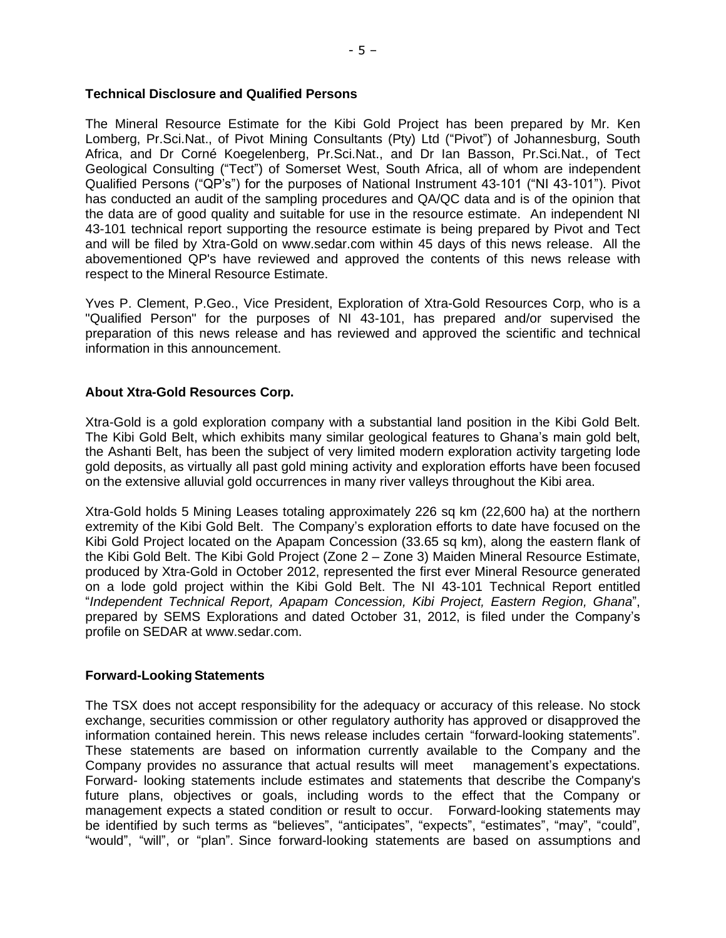## **Technical Disclosure and Qualified Persons**

The Mineral Resource Estimate for the Kibi Gold Project has been prepared by Mr. Ken Lomberg, Pr.Sci.Nat., of Pivot Mining Consultants (Pty) Ltd ("Pivot") of Johannesburg, South Africa, and Dr Corné Koegelenberg, Pr.Sci.Nat., and Dr Ian Basson, Pr.Sci.Nat., of Tect Geological Consulting ("Tect") of Somerset West, South Africa, all of whom are independent Qualified Persons ("QP's") for the purposes of National Instrument 43-101 ("NI 43-101"). Pivot has conducted an audit of the sampling procedures and QA/QC data and is of the opinion that the data are of good quality and suitable for use in the resource estimate. An independent NI 43-101 technical report supporting the resource estimate is being prepared by Pivot and Tect and will be filed by Xtra-Gold on [www.sedar.com](http://www.sedar.com/) within 45 days of this news release. All the abovementioned QP's have reviewed and approved the contents of this news release with respect to the Mineral Resource Estimate.

Yves P. Clement, P.Geo., Vice President, Exploration of Xtra-Gold Resources Corp, who is a "Qualified Person" for the purposes of NI 43-101, has prepared and/or supervised the preparation of this news release and has reviewed and approved the scientific and technical information in this announcement.

## **About Xtra-Gold Resources Corp.**

Xtra-Gold is a gold exploration company with a substantial land position in the Kibi Gold Belt. The Kibi Gold Belt, which exhibits many similar geological features to Ghana's main gold belt, the Ashanti Belt, has been the subject of very limited modern exploration activity targeting lode gold deposits, as virtually all past gold mining activity and exploration efforts have been focused on the extensive alluvial gold occurrences in many river valleys throughout the Kibi area.

Xtra-Gold holds 5 Mining Leases totaling approximately 226 sq km (22,600 ha) at the northern extremity of the Kibi Gold Belt. The Company's exploration efforts to date have focused on the Kibi Gold Project located on the Apapam Concession (33.65 sq km), along the eastern flank of the Kibi Gold Belt. The Kibi Gold Project (Zone 2 – Zone 3) Maiden Mineral Resource Estimate, produced by Xtra-Gold in October 2012, represented the first ever Mineral Resource generated on a lode gold project within the Kibi Gold Belt. The NI 43-101 Technical Report entitled "*Independent Technical Report, Apapam Concession, Kibi Project, Eastern Region, Ghana*", prepared by SEMS Explorations and dated October 31, 2012, is filed under the Company's profile on SEDAR at [www.sedar.com.](http://www.sedar.com/)

## **Forward-Looking Statements**

The TSX does not accept responsibility for the adequacy or accuracy of this release. No stock exchange, securities commission or other regulatory authority has approved or disapproved the information contained herein. This news release includes certain "forward-looking statements". These statements are based on information currently available to the Company and the Company provides no assurance that actual results will meet management's expectations. Forward- looking statements include estimates and statements that describe the Company's future plans, objectives or goals, including words to the effect that the Company or management expects a stated condition or result to occur. Forward-looking statements may be identified by such terms as "believes", "anticipates", "expects", "estimates", "may", "could", "would", "will", or "plan". Since forward-looking statements are based on assumptions and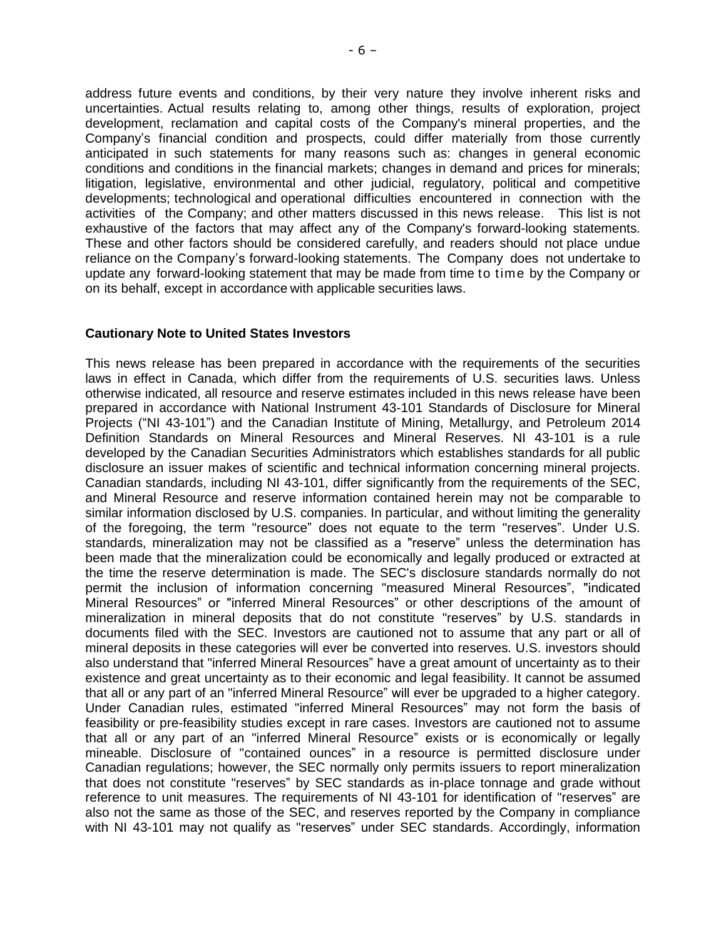address future events and conditions, by their very nature they involve inherent risks and uncertainties. Actual results relating to, among other things, results of exploration, project development, reclamation and capital costs of the Company's mineral properties, and the Company's financial condition and prospects, could differ materially from those currently anticipated in such statements for many reasons such as: changes in general economic conditions and conditions in the financial markets; changes in demand and prices for minerals; litigation, legislative, environmental and other judicial, regulatory, political and competitive developments; technological and operational difficulties encountered in connection with the activities of the Company; and other matters discussed in this news release. This list is not exhaustive of the factors that may affect any of the Company's forward-looking statements. These and other factors should be considered carefully, and readers should not place undue reliance on the Company's forward-looking statements. The Company does not undertake to update any forward-looking statement that may be made from time to time by the Company or on its behalf, except in accordance with applicable securities laws.

## **Cautionary Note to United States Investors**

This news release has been prepared in accordance with the requirements of the securities laws in effect in Canada, which differ from the requirements of U.S. securities laws. Unless otherwise indicated, all resource and reserve estimates included in this news release have been prepared in accordance with National Instrument 43-101 Standards of Disclosure for Mineral Projects ("NI 43-101") and the Canadian Institute of Mining, Metallurgy, and Petroleum 2014 Definition Standards on Mineral Resources and Mineral Reserves. NI 43-101 is a rule developed by the Canadian Securities Administrators which establishes standards for all public disclosure an issuer makes of scientific and technical information concerning mineral projects. Canadian standards, including NI 43-101, differ significantly from the requirements of the SEC, and Mineral Resource and reserve information contained herein may not be comparable to similar information disclosed by U.S. companies. In particular, and without limiting the generality of the foregoing, the term "resource" does not equate to the term "reserves". Under U.S. standards, mineralization may not be classified as a "reserve" unless the determination has been made that the mineralization could be economically and legally produced or extracted at the time the reserve determination is made. The SEC's disclosure standards normally do not permit the inclusion of information concerning "measured Mineral Resources", "indicated Mineral Resources" or "inferred Mineral Resources" or other descriptions of the amount of mineralization in mineral deposits that do not constitute "reserves" by U.S. standards in documents filed with the SEC. Investors are cautioned not to assume that any part or all of mineral deposits in these categories will ever be converted into reserves. U.S. investors should also understand that "inferred Mineral Resources" have a great amount of uncertainty as to their existence and great uncertainty as to their economic and legal feasibility. It cannot be assumed that all or any part of an "inferred Mineral Resource" will ever be upgraded to a higher category. Under Canadian rules, estimated "inferred Mineral Resources" may not form the basis of feasibility or pre-feasibility studies except in rare cases. Investors are cautioned not to assume that all or any part of an "inferred Mineral Resource" exists or is economically or legally mineable. Disclosure of "contained ounces" in a resource is permitted disclosure under Canadian regulations; however, the SEC normally only permits issuers to report mineralization that does not constitute "reserves" by SEC standards as in-place tonnage and grade without reference to unit measures. The requirements of NI 43-101 for identification of "reserves" are also not the same as those of the SEC, and reserves reported by the Company in compliance with NI 43-101 may not qualify as "reserves" under SEC standards. Accordingly, information